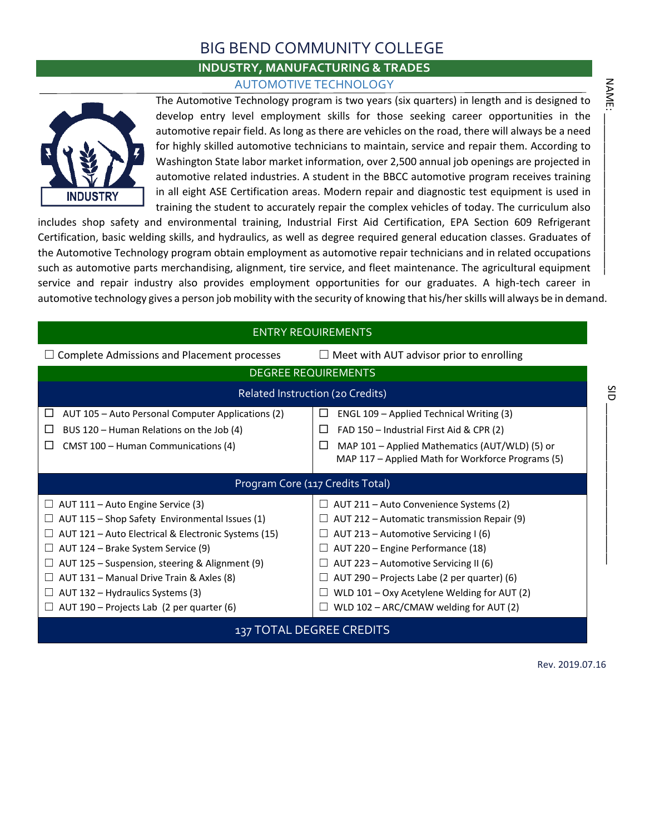### BIG BEND COMMUNITY COLLEGE

### **INDUSTRY, MANUFACTURING & TRADES**

AUTOMOTIVE TECHNOLOGY



|                                                                                                                                                                                                                                                                                                                                                                                                                  | <b>AUTOMOTIVE TECHNOLOGY</b>                                                                                                                                                                                                                                                                                                                                                                                                                                                                                                                                                                                                                                                                                                                                                                                                                                                                                                                                                                                                     |      |
|------------------------------------------------------------------------------------------------------------------------------------------------------------------------------------------------------------------------------------------------------------------------------------------------------------------------------------------------------------------------------------------------------------------|----------------------------------------------------------------------------------------------------------------------------------------------------------------------------------------------------------------------------------------------------------------------------------------------------------------------------------------------------------------------------------------------------------------------------------------------------------------------------------------------------------------------------------------------------------------------------------------------------------------------------------------------------------------------------------------------------------------------------------------------------------------------------------------------------------------------------------------------------------------------------------------------------------------------------------------------------------------------------------------------------------------------------------|------|
|                                                                                                                                                                                                                                                                                                                                                                                                                  | The Automotive Technology program is two years (six quarters) in length and is designed to<br>develop entry level employment skills for those seeking career opportunities in the<br>automotive repair field. As long as there are vehicles on the road, there will always be a need<br>for highly skilled automotive technicians to maintain, service and repair them. According to<br>Washington State labor market information, over 2,500 annual job openings are projected in                                                                                                                                                                                                                                                                                                                                                                                                                                                                                                                                               | NAME |
| <b>INDUSTRY</b>                                                                                                                                                                                                                                                                                                                                                                                                  | automotive related industries. A student in the BBCC automotive program receives training<br>in all eight ASE Certification areas. Modern repair and diagnostic test equipment is used in<br>training the student to accurately repair the complex vehicles of today. The curriculum also<br>includes shop safety and environmental training, Industrial First Aid Certification, EPA Section 609 Refrigerant<br>Certification, basic welding skills, and hydraulics, as well as degree required general education classes. Graduates of<br>the Automotive Technology program obtain employment as automotive repair technicians and in related occupations<br>such as automotive parts merchandising, alignment, tire service, and fleet maintenance. The agricultural equipment<br>service and repair industry also provides employment opportunities for our graduates. A high-tech career in<br>automotive technology gives a person job mobility with the security of knowing that his/her skills will always be in demand. |      |
|                                                                                                                                                                                                                                                                                                                                                                                                                  | <b>ENTRY REQUIREMENTS</b>                                                                                                                                                                                                                                                                                                                                                                                                                                                                                                                                                                                                                                                                                                                                                                                                                                                                                                                                                                                                        |      |
| $\Box$ Complete Admissions and Placement processes                                                                                                                                                                                                                                                                                                                                                               | $\Box$ Meet with AUT advisor prior to enrolling                                                                                                                                                                                                                                                                                                                                                                                                                                                                                                                                                                                                                                                                                                                                                                                                                                                                                                                                                                                  |      |
|                                                                                                                                                                                                                                                                                                                                                                                                                  | <b>DEGREE REQUIREMENTS</b>                                                                                                                                                                                                                                                                                                                                                                                                                                                                                                                                                                                                                                                                                                                                                                                                                                                                                                                                                                                                       |      |
|                                                                                                                                                                                                                                                                                                                                                                                                                  | Related Instruction (20 Credits)                                                                                                                                                                                                                                                                                                                                                                                                                                                                                                                                                                                                                                                                                                                                                                                                                                                                                                                                                                                                 | SID  |
| AUT 105 - Auto Personal Computer Applications (2)<br>ப<br>BUS 120 - Human Relations on the Job (4)<br>⊔<br>$\Box$<br>CMST 100 - Human Communications (4)                                                                                                                                                                                                                                                         | ENGL 109 - Applied Technical Writing (3)<br>⊔<br>FAD 150 - Industrial First Aid & CPR (2)<br>⊔<br>MAP 101 - Applied Mathematics (AUT/WLD) (5) or<br>$\Box$<br>MAP 117 - Applied Math for Workforce Programs (5)                                                                                                                                                                                                                                                                                                                                                                                                                                                                                                                                                                                                                                                                                                                                                                                                                  |      |
|                                                                                                                                                                                                                                                                                                                                                                                                                  | Program Core (117 Credits Total)                                                                                                                                                                                                                                                                                                                                                                                                                                                                                                                                                                                                                                                                                                                                                                                                                                                                                                                                                                                                 |      |
| $\Box$ AUT 111 – Auto Engine Service (3)<br>$\Box$ AUT 115 - Shop Safety Environmental Issues (1)<br>$\Box$ AUT 121 - Auto Electrical & Electronic Systems (15)<br>$\Box$ AUT 124 – Brake System Service (9)<br>$\Box$ AUT 125 – Suspension, steering & Alignment (9)<br>AUT 131 - Manual Drive Train & Axles (8)<br>$\Box$ AUT 132 – Hydraulics Systems (3)<br>$\Box$ AUT 190 – Projects Lab (2 per quarter (6) | $\Box$ AUT 211 – Auto Convenience Systems (2)<br>$\Box$ AUT 212 – Automatic transmission Repair (9)<br>$\Box$ AUT 213 – Automotive Servicing I (6)<br>$\Box$ AUT 220 – Engine Performance (18)<br>$\Box$ AUT 223 – Automotive Servicing II (6)<br>AUT 290 - Projects Labe (2 per quarter) (6)<br>WLD 101 - Oxy Acetylene Welding for AUT (2)<br>$\Box$<br>WLD 102 - ARC/CMAW welding for AUT (2)<br>U.                                                                                                                                                                                                                                                                                                                                                                                                                                                                                                                                                                                                                           |      |
|                                                                                                                                                                                                                                                                                                                                                                                                                  | 137 TOTAL DEGREE CREDITS                                                                                                                                                                                                                                                                                                                                                                                                                                                                                                                                                                                                                                                                                                                                                                                                                                                                                                                                                                                                         |      |
|                                                                                                                                                                                                                                                                                                                                                                                                                  | Rev. 2019.07.16                                                                                                                                                                                                                                                                                                                                                                                                                                                                                                                                                                                                                                                                                                                                                                                                                                                                                                                                                                                                                  |      |

**NAME**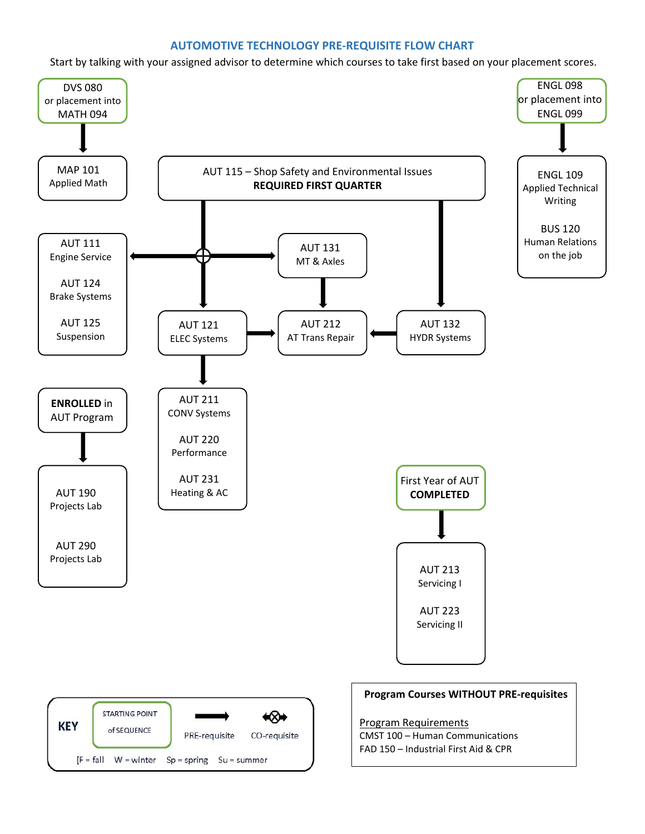### **AUTOMOTIVE TECHNOLOGY PRE-REQUISITE FLOW CHART**

Start by talking with your assigned advisor to determine which courses to take first based on your placement scores.

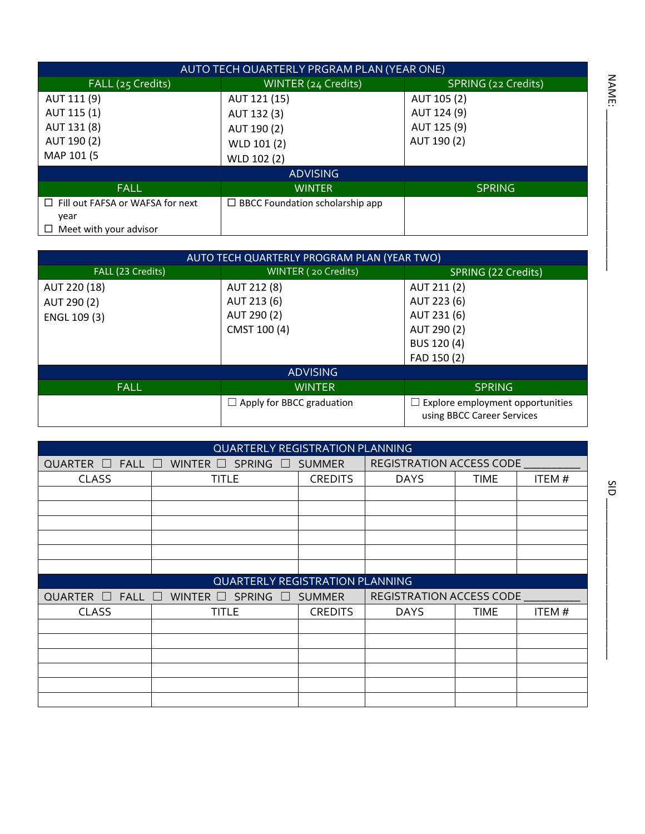|                                         | AUTO TECH QUARTERLY PRGRAM PLAN (YEAR ONE) |                     |
|-----------------------------------------|--------------------------------------------|---------------------|
| FALL (25 Credits)                       | WINTER (24 Credits)                        | SPRING (22 Credits) |
| AUT 111 (9)                             | AUT 121 (15)                               | AUT 105 (2)         |
| AUT 115 (1)                             | AUT 132 (3)                                | AUT 124 (9)         |
| AUT 131 (8)                             | AUT 190 (2)                                | AUT 125 (9)         |
| AUT 190 (2)                             | WLD 101 (2)                                | AUT 190 (2)         |
| MAP 101 (5                              | WLD 102 (2)                                |                     |
|                                         | <b>ADVISING</b>                            |                     |
| <b>FALL</b>                             | <b>WINTER</b>                              | <b>SPRING</b>       |
| $\Box$ Fill out FAFSA or WAFSA for next | $\Box$ BBCC Foundation scholarship app     |                     |
| year                                    |                                            |                     |
| Meet with your advisor<br>$\Box$        |                                            |                     |

|                   | AUTO TECH QUARTERLY PROGRAM PLAN (YEAR TWO) |                                                                |
|-------------------|---------------------------------------------|----------------------------------------------------------------|
| FALL (23 Credits) | WINTER (20 Credits)                         | SPRING (22 Credits)                                            |
| AUT 220 (18)      | AUT 212 (8)                                 | AUT 211 (2)                                                    |
| AUT 290 (2)       | AUT 213 (6)                                 | AUT 223 (6)                                                    |
| ENGL 109 (3)      | AUT 290 (2)                                 | AUT 231 (6)                                                    |
|                   | CMST 100 (4)                                | AUT 290 (2)                                                    |
|                   |                                             | BUS 120 (4)                                                    |
|                   |                                             | FAD 150 (2)                                                    |
|                   | <b>ADVISING</b>                             |                                                                |
| <b>FALL</b>       | <b>WINTER</b>                               | <b>SPRING</b>                                                  |
|                   | $\Box$ Apply for BBCC graduation            | Explore employment opportunities<br>using BBCC Career Services |

|                                      | <b>QUARTERLY REGISTRATION PLANNING</b> |                |                                 |             |        |
|--------------------------------------|----------------------------------------|----------------|---------------------------------|-------------|--------|
| $\Box$ FALL $\Box$<br><b>QUARTER</b> | WINTER $\square$ SPRING                | $\Box$ SUMMER  | <b>REGISTRATION ACCESS CODE</b> |             |        |
| <b>CLASS</b>                         | <b>TITLE</b>                           | <b>CREDITS</b> | <b>DAYS</b>                     | <b>TIME</b> | ITEM#  |
|                                      |                                        |                |                                 |             |        |
|                                      |                                        |                |                                 |             |        |
|                                      |                                        |                |                                 |             |        |
|                                      |                                        |                |                                 |             |        |
|                                      |                                        |                |                                 |             |        |
|                                      |                                        |                |                                 |             |        |
|                                      | <b>QUARTERLY REGISTRATION PLANNING</b> |                |                                 |             |        |
| $FALL$ $\Box$<br>QUARTER<br>$\Box$   | SPRING<br>WINTER $\square$<br>$\Box$   | SUMMER         | <b>REGISTRATION ACCESS CODE</b> |             |        |
| <b>CLASS</b>                         | TITLE                                  | <b>CREDITS</b> | <b>DAYS</b>                     | <b>TIME</b> | ITEM # |
|                                      |                                        |                |                                 |             |        |
|                                      |                                        |                |                                 |             |        |
|                                      |                                        |                |                                 |             |        |
|                                      |                                        |                |                                 |             |        |
|                                      |                                        |                |                                 |             |        |
|                                      |                                        |                |                                 |             |        |

\_\_\_\_\_\_\_\_\_\_\_\_\_\_\_\_\_\_\_\_\_\_\_\_\_\_\_\_

NAME: \_\_\_\_\_\_\_\_\_\_\_\_\_\_\_\_\_\_\_\_\_\_\_\_\_\_\_\_

NAME: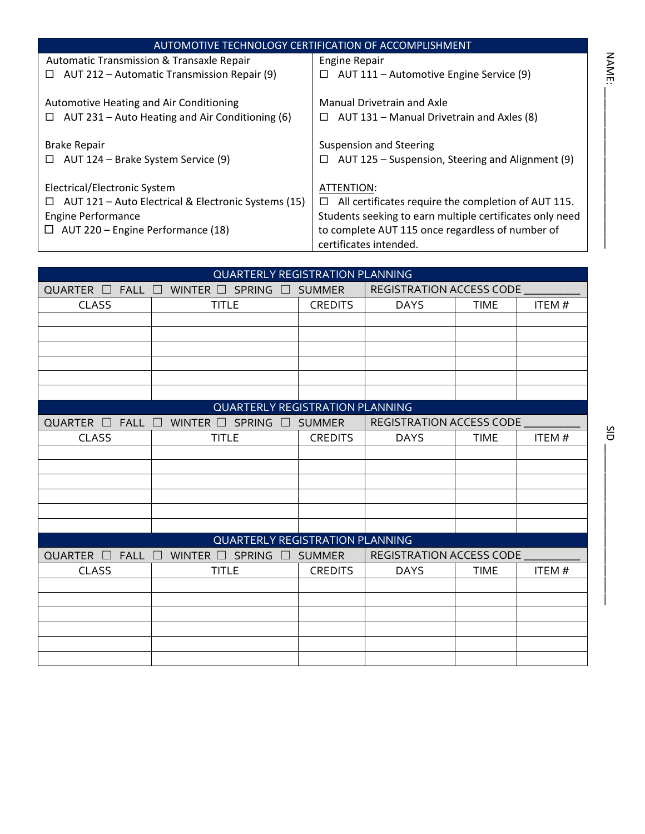|                                                           | AUTOMOTIVE TECHNOLOGY CERTIFICATION OF ACCOMPLISHMENT    |             |
|-----------------------------------------------------------|----------------------------------------------------------|-------------|
| Automatic Transmission & Transaxle Repair                 | Engine Repair                                            |             |
| AUT 212 – Automatic Transmission Repair (9)<br>$\Box$     | AUT 111 - Automotive Engine Service (9)<br>□             | <b>NAME</b> |
|                                                           |                                                          |             |
| Automotive Heating and Air Conditioning                   | Manual Drivetrain and Axle                               |             |
| AUT 231 – Auto Heating and Air Conditioning (6)<br>$\Box$ | AUT 131 - Manual Drivetrain and Axles (8)<br>$\Box$      |             |
|                                                           |                                                          |             |
| <b>Brake Repair</b>                                       | <b>Suspension and Steering</b>                           |             |
| AUT 124 – Brake System Service (9)<br>$\Box$              | AUT 125 - Suspension, Steering and Alignment (9)<br>□    |             |
|                                                           |                                                          |             |
| Electrical/Electronic System                              | ATTENTION:                                               |             |
| AUT 121 - Auto Electrical & Electronic Systems (15)<br>⊔  | All certificates require the completion of AUT 115.<br>□ |             |
| <b>Engine Performance</b>                                 | Students seeking to earn multiple certificates only need |             |
| AUT 220 - Engine Performance (18)<br>$\Box$               | to complete AUT 115 once regardless of number of         |             |
|                                                           | certificates intended.                                   |             |

|                                        | <b>QUARTERLY REGISTRATION PLANNING</b>       |                |                          |             |       |
|----------------------------------------|----------------------------------------------|----------------|--------------------------|-------------|-------|
| $FALL$ $\square$<br>QUARTER<br>$\perp$ | WINTER $\square$ SPRING $\square$            | <b>SUMMER</b>  | REGISTRATION ACCESS CODE |             |       |
| <b>CLASS</b>                           | <b>TITLE</b>                                 | <b>CREDITS</b> | <b>DAYS</b>              | <b>TIME</b> | ITEM# |
|                                        |                                              |                |                          |             |       |
|                                        |                                              |                |                          |             |       |
|                                        |                                              |                |                          |             |       |
|                                        |                                              |                |                          |             |       |
|                                        |                                              |                |                          |             |       |
|                                        |                                              |                |                          |             |       |
|                                        | <b>QUARTERLY REGISTRATION PLANNING</b>       |                |                          |             |       |
| QUARTER $\square$<br>FALL $\Box$       | WINTER $\Box$ SPRING<br>$\perp$              | <b>SUMMER</b>  | REGISTRATION ACCESS CODE |             |       |
| <b>CLASS</b>                           | <b>TITLE</b>                                 | <b>CREDITS</b> | <b>DAYS</b>              | <b>TIME</b> | ITEM# |
|                                        |                                              |                |                          |             |       |
|                                        |                                              |                |                          |             |       |
|                                        |                                              |                |                          |             |       |
|                                        |                                              |                |                          |             |       |
|                                        |                                              |                |                          |             |       |
|                                        |                                              |                |                          |             |       |
|                                        | <b>QUARTERLY REGISTRATION PLANNING</b>       |                |                          |             |       |
| QUARTER $\square$<br>$FALL$ $\Box$     | <b>SPRING</b><br>WINTER $\square$<br>$\perp$ | <b>SUMMER</b>  | REGISTRATION ACCESS CODE |             |       |
| <b>CLASS</b>                           | <b>TITLE</b>                                 | <b>CREDITS</b> | <b>DAYS</b>              | <b>TIME</b> | ITEM# |
|                                        |                                              |                |                          |             |       |
|                                        |                                              |                |                          |             |       |
|                                        |                                              |                |                          |             |       |
|                                        |                                              |                |                          |             |       |
|                                        |                                              |                |                          |             |       |
|                                        |                                              |                |                          |             |       |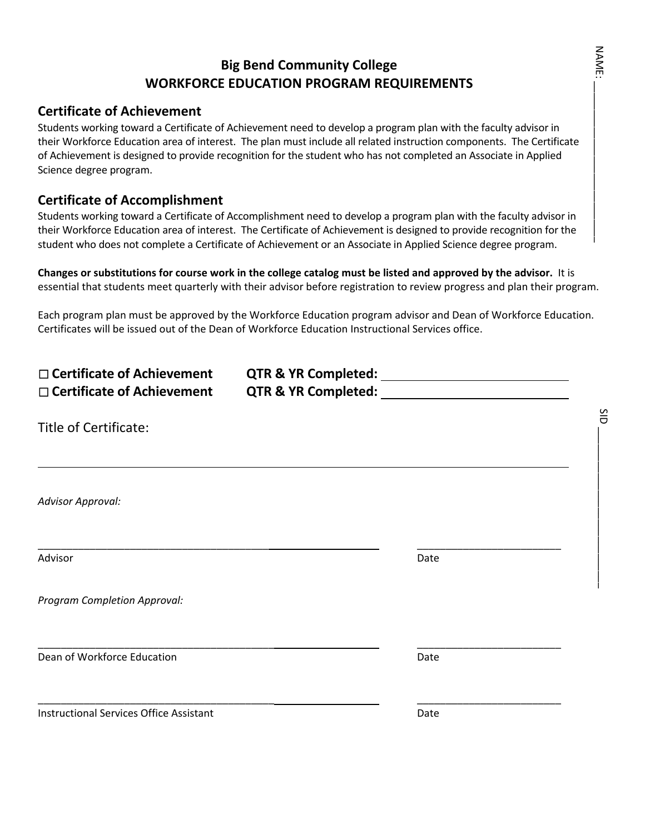### **Big Bend Community College WORKFORCE EDUCATION PROGRAM REQUIREMENTS**

### **Certificate of Achievement**

Students working toward a Certificate of Achievement need to develop a program plan with the faculty advisor in their Workforce Education area of interest. The plan must include all related instruction components. The Certificate of Achievement is designed to provide recognition for the student who has not completed an Associate in Applied Science degree program.

### **Certificate of Accomplishment**

Students working toward a Certificate of Accomplishment need to develop a program plan with the faculty advisor in their Workforce Education area of interest. The Certificate of Achievement is designed to provide recognition for the student who does not complete a Certificate of Achievement or an Associate in Applied Science degree program.

**Changes or substitutions for course work in the college catalog must be listed and approved by the advisor.** It is essential that students meet quarterly with their advisor before registration to review progress and plan their program.

Each program plan must be approved by the Workforce Education program advisor and Dean of Workforce Education. Certificates will be issued out of the Dean of Workforce Education Instructional Services office.

| $\Box$ Certificate of Achievement<br>$\Box$ Certificate of Achievement | QTR & YR Completed: |      |  |
|------------------------------------------------------------------------|---------------------|------|--|
| Title of Certificate:                                                  |                     |      |  |
| <b>Advisor Approval:</b>                                               |                     |      |  |
| Advisor                                                                |                     | Date |  |
| Program Completion Approval:                                           |                     |      |  |
| Dean of Workforce Education                                            |                     | Date |  |
| <b>Instructional Services Office Assistant</b>                         |                     | Date |  |

**NAME:** NAME: \_\_\_\_\_\_\_\_\_\_\_\_\_\_\_\_\_\_\_\_\_\_\_\_\_\_\_\_

SID